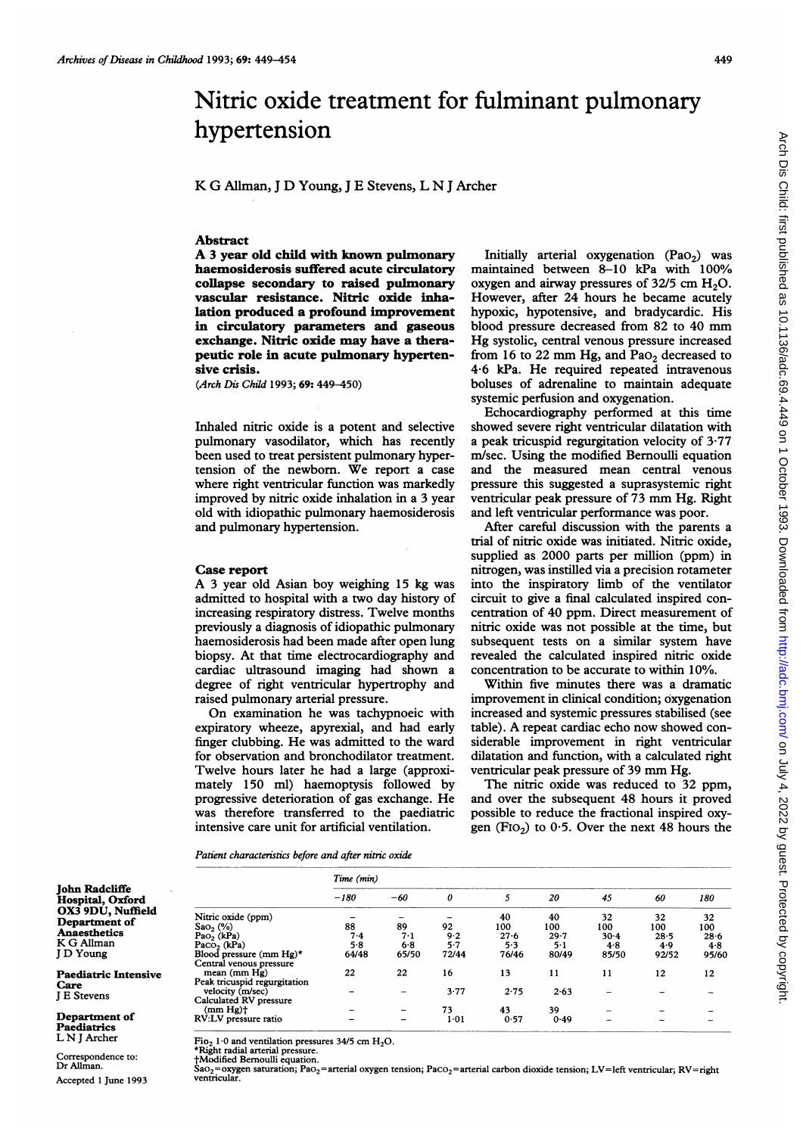# Nitric oxide treatment for fulminant pulmonary hypertension

# K G Allman, <sup>J</sup> D Young, <sup>J</sup> E Stevens, L N <sup>J</sup> Archer

#### Abstract

A <sup>3</sup> year old child with known pulmonary haemosiderosis suffered acute circulatory collapse secondary to raised pulmonary vascular resistance. Nitric oxide inhalation produced a profound improvement in circulatory parameters and gaseous exchange. Nitric oxide may have a therapeutic role in acute pulmonary hypertensive crisis.

(Arch Dis Child 1993; 69: 449-450)

Inhaled nitric oxide is a potent and selective pulmonary vasodilator, which has recently been used to treat persistent pulmonary hypertension of the newborn. We report <sup>a</sup> case where right ventricular function was markedly improved by nitric oxide inhalation in a 3 year old with idiopathic pulmonary haemosiderosis and pulmonary hypertension.

#### Case report

A <sup>3</sup> year old Asian boy weighing <sup>15</sup> kg was admitted to hospital with a two day history of increasing respiratory distress. Twelve months previously a diagnosis of idiopathic pulmonary haemosiderosis had been made after open lung biopsy. At that time electrocardiography and cardiac ultrasound imaging had shown a degree of right ventricular hypertrophy and raised pulmonary arterial pressure.

On examination he was tachypnoeic with expiratory wheeze, apyrexial, and had early finger clubbing. He was admitted to the ward for observation and bronchodilator treatment. Twelve hours later he had a large (approximately 150 ml) haemoptysis followed by progressive deterioration of gas exchange. He was therefore transferred to the paediatric intensive care unit for artificial ventilation.

Initially arterial oxygenation  $(Pao<sub>2</sub>)$  was maintained between 8-10 kPa with 100% oxygen and airway pressures of  $32/5$  cm  $H<sub>2</sub>O$ . However, after 24 hours he became acutely hypoxic, hypotensive, and bradycardic. His blood pressure decreased from <sup>82</sup> to <sup>40</sup> mm Hg systolic, central venous pressure increased from 16 to 22 mm Hg, and Pa $O<sub>2</sub>$  decreased to 4-6 kPa. He required repeated intravenous boluses of adrenaline to maintain adequate systemic perfusion and oxygenation.

Echocardiography performed at this time showed severe right ventricular dilatation with a peak tricuspid regurgitation velocity of 3-77 m/sec. Using the modified Bernoulli equation and the measured mean central venous pressure this suggested a suprasystemic right ventricular peak pressure of <sup>73</sup> mm Hg. Right and left ventricular performance was poor.

After careful discussion with the parents a trial of nitric oxide was initiated. Nitric oxide, supplied as 2000 parts per million (ppm) in nitrogen, was instilled via a precision rotameter into the inspiratory limb of the ventilator circuit to give a final calculated inspired concentration of 40 ppm. Direct measurement of nitric oxide was not possible at the time, but subsequent tests on a similar system have revealed the calculated inspired nitric oxide concentration to be accurate to within 1O%.

Within five minutes there was a dramatic improvement in clinical condition; oxygenation increased and systemic pressures stabilised (see table). A repeat cardiac echo now showed considerable improvement in right ventricular dilatation and function, with a calculated right ventricular peak pressure of <sup>39</sup> mm Hg.

The nitric oxide was reduced to 32 ppm, and over the subsequent 48 hours it proved possible to reduce the fractional inspired oxygen (F<sub>IO<sub>2</sub>) to 0.5. Over the next 48 hours the</sub>

Patient characteristics before and after nitric oxide

|                                                                                      |                                                                                                              | Time (min)                |                                 |                               |                                       |                                   |                                                      |                                       |                                       |
|--------------------------------------------------------------------------------------|--------------------------------------------------------------------------------------------------------------|---------------------------|---------------------------------|-------------------------------|---------------------------------------|-----------------------------------|------------------------------------------------------|---------------------------------------|---------------------------------------|
| John Radcliffe<br><b>Hospital, Oxford</b>                                            |                                                                                                              | $-180$                    | $-60$                           | 0                             |                                       | 20                                | 45                                                   | 60                                    | 180                                   |
| OX3 9DU, Nuffield<br>Department of<br><b>Anaesthetics</b><br>K G Allman<br>J D Young | Nitric oxide (ppm)<br>$Sao2(\%)$<br>$PaO2$ (kPa)<br>Paco <sub>2</sub> ( $kPa$ )<br>Blood pressure (mm $Hg^*$ | 88<br>7.4<br>5.8<br>64/48 | 89<br>$7-1$<br>$6 - 8$<br>65/50 | 92<br>9.2<br>$5 - 7$<br>72/44 | 40<br>100<br>$27 - 6$<br>5.3<br>76/46 | 40<br>100<br>29.7<br>5·1<br>80/49 | 32<br>100<br>$30-4$<br>4.8<br>85/50                  | 32<br>100<br>$28 - 5$<br>4.9<br>92/52 | 32<br>100<br>$28 - 6$<br>4.8<br>95/60 |
| <b>Paediatric Intensive</b>                                                          | Central venous pressure<br>mean (mm Hg)                                                                      | 22                        | 22                              | 16                            | 13                                    | 11                                | 11                                                   | 12                                    | 12                                    |
| Care<br><b>I E Stevens</b>                                                           | Peak tricuspid regurgitation<br>velocity (m/sec)<br>Calculated RV pressure                                   |                           |                                 | 3.77                          | 2.75                                  | 2.63                              |                                                      |                                       |                                       |
| Department of<br>Paediatrics                                                         | $(mm Hg)$ <sup>+</sup><br>RV:LV pressure ratio                                                               |                           | -<br>$\overline{\phantom{0}}$   | 73<br>1.01                    | 43<br>0.57                            | 39<br>0.49                        | $\overline{\phantom{0}}$<br>$\overline{\phantom{0}}$ |                                       |                                       |

Fio<sub>2</sub> 1.0 and ventilation pressures 34/5 cm  $H_2O$ .

\*Right radial arterial pressure

tModified Bernoulli equation.

Correspondence to: Dr Allman. Accepted <sup>1</sup> June 1993

Care J E Stevens Department of Paediatrics L N <sup>J</sup> Archer

> Sa $\rm o_2$ =oxygen saturation; Pa $\rm o_2$ =arterial oxygen tension; Pa $\rm co_2$ =arterial carbon dioxide tension; LV=left ventricular; RV=right ventricular.